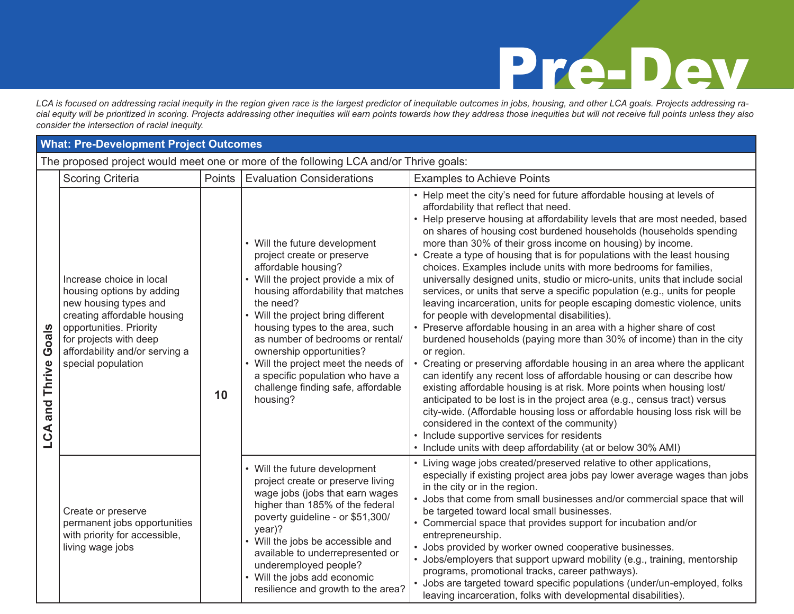*LCA is focused on addressing racial inequity in the region given race is the largest predictor of inequitable outcomes in jobs, housing, and other LCA goals. Projects addressing racial equity will be prioritized in scoring. Projects addressing other inequities will earn points towards how they address those inequities but will not receive full points unless they also consider the intersection of racial inequity.*

#### **What: Pre-Development Project Outcomes**

The proposed project would meet one or more of the following LCA and/or Thrive goals:

|                            | <b>Scoring Criteria</b>                                                                                                                                                                                                    | Points | The proposed project from most one or more or the renofinity Eo. (and/or Trinite godie<br><b>Evaluation Considerations</b>                                                                                                                                                                                                                                                                                                                          | <b>Examples to Achieve Points</b>                                                                                                                                                                                                                                                                                                                                                                                                                                                                                                                                                                                                                                                                                                                                                                                                                                                                                                                                                                                                                                                                                                                                                                                                                                                                                                                                                                                                                                                                         |
|----------------------------|----------------------------------------------------------------------------------------------------------------------------------------------------------------------------------------------------------------------------|--------|-----------------------------------------------------------------------------------------------------------------------------------------------------------------------------------------------------------------------------------------------------------------------------------------------------------------------------------------------------------------------------------------------------------------------------------------------------|-----------------------------------------------------------------------------------------------------------------------------------------------------------------------------------------------------------------------------------------------------------------------------------------------------------------------------------------------------------------------------------------------------------------------------------------------------------------------------------------------------------------------------------------------------------------------------------------------------------------------------------------------------------------------------------------------------------------------------------------------------------------------------------------------------------------------------------------------------------------------------------------------------------------------------------------------------------------------------------------------------------------------------------------------------------------------------------------------------------------------------------------------------------------------------------------------------------------------------------------------------------------------------------------------------------------------------------------------------------------------------------------------------------------------------------------------------------------------------------------------------------|
| Goals<br>and Thrive<br>LCA | Increase choice in local<br>housing options by adding<br>new housing types and<br>creating affordable housing<br>opportunities. Priority<br>for projects with deep<br>affordability and/or serving a<br>special population | 10     | • Will the future development<br>project create or preserve<br>affordable housing?<br>• Will the project provide a mix of<br>housing affordability that matches<br>the need?<br>• Will the project bring different<br>housing types to the area, such<br>as number of bedrooms or rental/<br>ownership opportunities?<br>• Will the project meet the needs of<br>a specific population who have a<br>challenge finding safe, affordable<br>housing? | • Help meet the city's need for future affordable housing at levels of<br>affordability that reflect that need.<br>• Help preserve housing at affordability levels that are most needed, based<br>on shares of housing cost burdened households (households spending<br>more than 30% of their gross income on housing) by income.<br>• Create a type of housing that is for populations with the least housing<br>choices. Examples include units with more bedrooms for families,<br>universally designed units, studio or micro-units, units that include social<br>services, or units that serve a specific population (e.g., units for people<br>leaving incarceration, units for people escaping domestic violence, units<br>for people with developmental disabilities).<br>• Preserve affordable housing in an area with a higher share of cost<br>burdened households (paying more than 30% of income) than in the city<br>or region.<br>Creating or preserving affordable housing in an area where the applicant<br>can identify any recent loss of affordable housing or can describe how<br>existing affordable housing is at risk. More points when housing lost/<br>anticipated to be lost is in the project area (e.g., census tract) versus<br>city-wide. (Affordable housing loss or affordable housing loss risk will be<br>considered in the context of the community)<br>• Include supportive services for residents<br>• Include units with deep affordability (at or below 30% AMI) |
|                            | Create or preserve<br>permanent jobs opportunities<br>with priority for accessible,<br>living wage jobs                                                                                                                    |        | • Will the future development<br>project create or preserve living<br>wage jobs (jobs that earn wages<br>higher than 185% of the federal<br>poverty guideline - or \$51,300/<br>$year)$ ?<br>• Will the jobs be accessible and<br>available to underrepresented or<br>underemployed people?<br>• Will the jobs add economic<br>resilience and growth to the area?                                                                                   | • Living wage jobs created/preserved relative to other applications,<br>especially if existing project area jobs pay lower average wages than jobs<br>in the city or in the region.<br>• Jobs that come from small businesses and/or commercial space that will<br>be targeted toward local small businesses.<br>• Commercial space that provides support for incubation and/or<br>entrepreneurship.<br>• Jobs provided by worker owned cooperative businesses.<br>• Jobs/employers that support upward mobility (e.g., training, mentorship<br>programs, promotional tracks, career pathways).<br>• Jobs are targeted toward specific populations (under/un-employed, folks<br>leaving incarceration, folks with developmental disabilities).                                                                                                                                                                                                                                                                                                                                                                                                                                                                                                                                                                                                                                                                                                                                                            |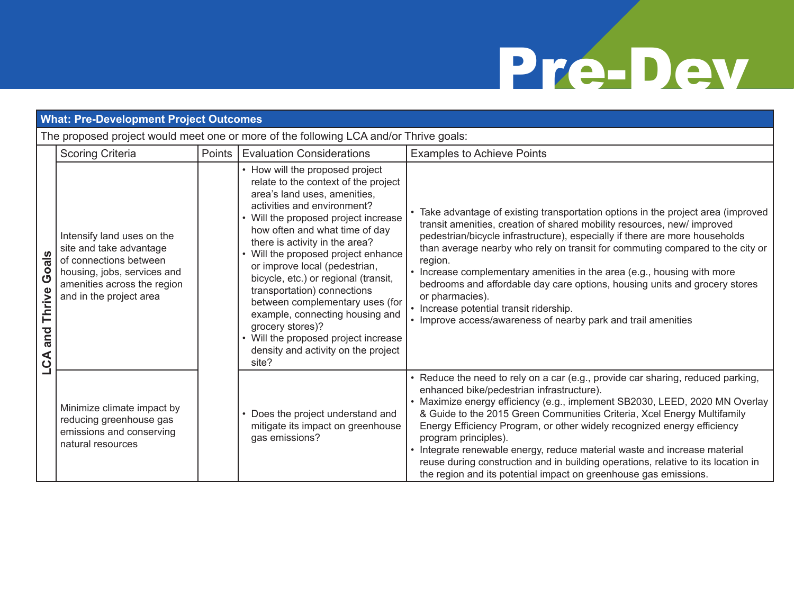| <b>What: Pre-Development Project Outcomes</b>                                         |                                                                                                                                                                          |        |                                                                                                                                                                                                                                                                                                                                                                                                                                                                                                                                                                                   |                                                                                                                                                                                                                                                                                                                                                                                                                                                                                                                                                                                                                                 |  |
|---------------------------------------------------------------------------------------|--------------------------------------------------------------------------------------------------------------------------------------------------------------------------|--------|-----------------------------------------------------------------------------------------------------------------------------------------------------------------------------------------------------------------------------------------------------------------------------------------------------------------------------------------------------------------------------------------------------------------------------------------------------------------------------------------------------------------------------------------------------------------------------------|---------------------------------------------------------------------------------------------------------------------------------------------------------------------------------------------------------------------------------------------------------------------------------------------------------------------------------------------------------------------------------------------------------------------------------------------------------------------------------------------------------------------------------------------------------------------------------------------------------------------------------|--|
| The proposed project would meet one or more of the following LCA and/or Thrive goals: |                                                                                                                                                                          |        |                                                                                                                                                                                                                                                                                                                                                                                                                                                                                                                                                                                   |                                                                                                                                                                                                                                                                                                                                                                                                                                                                                                                                                                                                                                 |  |
| Goals<br>Thrive<br>and<br>LCA                                                         | <b>Scoring Criteria</b>                                                                                                                                                  | Points | <b>Evaluation Considerations</b>                                                                                                                                                                                                                                                                                                                                                                                                                                                                                                                                                  | <b>Examples to Achieve Points</b>                                                                                                                                                                                                                                                                                                                                                                                                                                                                                                                                                                                               |  |
|                                                                                       | Intensify land uses on the<br>site and take advantage<br>of connections between<br>housing, jobs, services and<br>amenities across the region<br>and in the project area |        | • How will the proposed project<br>relate to the context of the project<br>area's land uses, amenities,<br>activities and environment?<br>• Will the proposed project increase<br>how often and what time of day<br>there is activity in the area?<br>Will the proposed project enhance<br>or improve local (pedestrian,<br>bicycle, etc.) or regional (transit,<br>transportation) connections<br>between complementary uses (for<br>example, connecting housing and<br>grocery stores)?<br>• Will the proposed project increase<br>density and activity on the project<br>site? | • Take advantage of existing transportation options in the project area (improved<br>transit amenities, creation of shared mobility resources, new/ improved<br>pedestrian/bicycle infrastructure), especially if there are more households<br>than average nearby who rely on transit for commuting compared to the city or<br>region.<br>• Increase complementary amenities in the area (e.g., housing with more<br>bedrooms and affordable day care options, housing units and grocery stores<br>or pharmacies).<br>• Increase potential transit ridership.<br>• Improve access/awareness of nearby park and trail amenities |  |
|                                                                                       | Minimize climate impact by<br>reducing greenhouse gas<br>emissions and conserving<br>natural resources                                                                   |        | Does the project understand and<br>mitigate its impact on greenhouse<br>gas emissions?                                                                                                                                                                                                                                                                                                                                                                                                                                                                                            | • Reduce the need to rely on a car (e.g., provide car sharing, reduced parking,<br>enhanced bike/pedestrian infrastructure).<br>• Maximize energy efficiency (e.g., implement SB2030, LEED, 2020 MN Overlay<br>& Guide to the 2015 Green Communities Criteria, Xcel Energy Multifamily<br>Energy Efficiency Program, or other widely recognized energy efficiency<br>program principles).<br>• Integrate renewable energy, reduce material waste and increase material<br>reuse during construction and in building operations, relative to its location in<br>the region and its potential impact on greenhouse gas emissions. |  |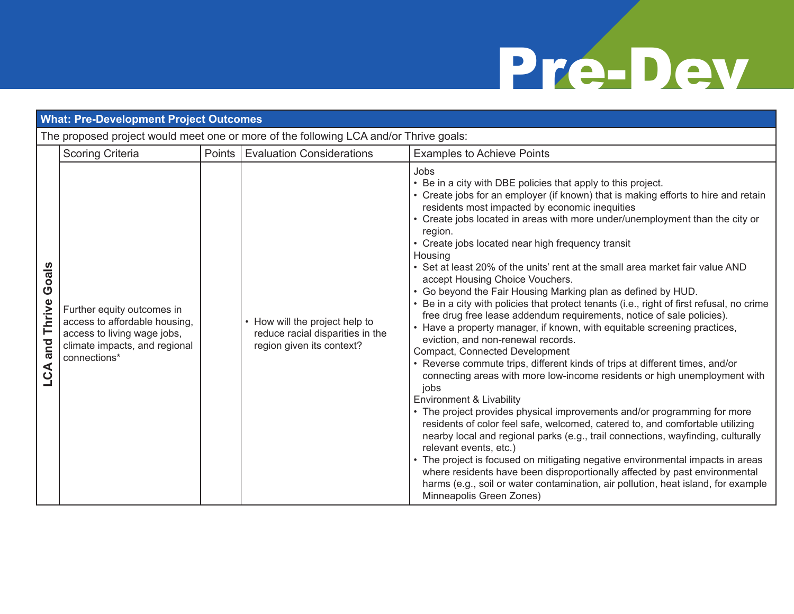| <b>What: Pre-Development Project Outcomes</b> |                                                                                                                                             |        |                                                                                                 |                                                                                                                                                                                                                                                                                                                                                                                                                                                                                                                                                                                                                                                                                                                                                                                                                                                                                                                                                                                                                                                                                                                                                                                                                                                                                                                                                                                                                                                                                                                                                                                                                                                  |  |
|-----------------------------------------------|---------------------------------------------------------------------------------------------------------------------------------------------|--------|-------------------------------------------------------------------------------------------------|--------------------------------------------------------------------------------------------------------------------------------------------------------------------------------------------------------------------------------------------------------------------------------------------------------------------------------------------------------------------------------------------------------------------------------------------------------------------------------------------------------------------------------------------------------------------------------------------------------------------------------------------------------------------------------------------------------------------------------------------------------------------------------------------------------------------------------------------------------------------------------------------------------------------------------------------------------------------------------------------------------------------------------------------------------------------------------------------------------------------------------------------------------------------------------------------------------------------------------------------------------------------------------------------------------------------------------------------------------------------------------------------------------------------------------------------------------------------------------------------------------------------------------------------------------------------------------------------------------------------------------------------------|--|
|                                               | The proposed project would meet one or more of the following LCA and/or Thrive goals:                                                       |        |                                                                                                 |                                                                                                                                                                                                                                                                                                                                                                                                                                                                                                                                                                                                                                                                                                                                                                                                                                                                                                                                                                                                                                                                                                                                                                                                                                                                                                                                                                                                                                                                                                                                                                                                                                                  |  |
|                                               | <b>Scoring Criteria</b>                                                                                                                     | Points | Evaluation Considerations                                                                       | <b>Examples to Achieve Points</b>                                                                                                                                                                                                                                                                                                                                                                                                                                                                                                                                                                                                                                                                                                                                                                                                                                                                                                                                                                                                                                                                                                                                                                                                                                                                                                                                                                                                                                                                                                                                                                                                                |  |
| Goals<br>Thrive<br>and<br>LCA                 | Further equity outcomes in<br>access to affordable housing,<br>access to living wage jobs,<br>climate impacts, and regional<br>connections* |        | • How will the project help to<br>reduce racial disparities in the<br>region given its context? | Jobs<br>• Be in a city with DBE policies that apply to this project.<br>• Create jobs for an employer (if known) that is making efforts to hire and retain<br>residents most impacted by economic inequities<br>Create jobs located in areas with more under/unemployment than the city or<br>region.<br>• Create jobs located near high frequency transit<br>Housing<br>• Set at least 20% of the units' rent at the small area market fair value AND<br>accept Housing Choice Vouchers.<br>• Go beyond the Fair Housing Marking plan as defined by HUD.<br>• Be in a city with policies that protect tenants (i.e., right of first refusal, no crime<br>free drug free lease addendum requirements, notice of sale policies).<br>• Have a property manager, if known, with equitable screening practices,<br>eviction, and non-renewal records.<br>Compact, Connected Development<br>• Reverse commute trips, different kinds of trips at different times, and/or<br>connecting areas with more low-income residents or high unemployment with<br>jobs<br>Environment & Livability<br>• The project provides physical improvements and/or programming for more<br>residents of color feel safe, welcomed, catered to, and comfortable utilizing<br>nearby local and regional parks (e.g., trail connections, wayfinding, culturally<br>relevant events, etc.)<br>• The project is focused on mitigating negative environmental impacts in areas<br>where residents have been disproportionally affected by past environmental<br>harms (e.g., soil or water contamination, air pollution, heat island, for example<br>Minneapolis Green Zones) |  |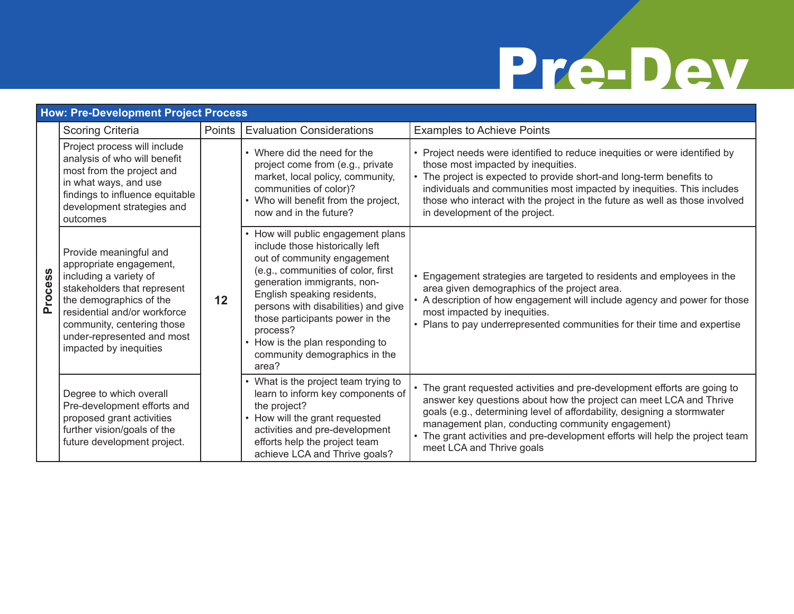| <b>How: Pre-Development Project Process</b> |                                                                                                                                                                                                                                                             |        |                                                                                                                                                                                                                                                                                                                                                                             |                                                                                                                                                                                                                                                                                                                                                                                               |  |
|---------------------------------------------|-------------------------------------------------------------------------------------------------------------------------------------------------------------------------------------------------------------------------------------------------------------|--------|-----------------------------------------------------------------------------------------------------------------------------------------------------------------------------------------------------------------------------------------------------------------------------------------------------------------------------------------------------------------------------|-----------------------------------------------------------------------------------------------------------------------------------------------------------------------------------------------------------------------------------------------------------------------------------------------------------------------------------------------------------------------------------------------|--|
|                                             | <b>Scoring Criteria</b>                                                                                                                                                                                                                                     | Points | <b>Evaluation Considerations</b>                                                                                                                                                                                                                                                                                                                                            | <b>Examples to Achieve Points</b>                                                                                                                                                                                                                                                                                                                                                             |  |
| Process                                     | Project process will include<br>analysis of who will benefit<br>most from the project and<br>in what ways, and use<br>findings to influence equitable<br>development strategies and<br>outcomes                                                             | 12     | • Where did the need for the<br>project come from (e.g., private<br>market, local policy, community,<br>communities of color)?<br>• Who will benefit from the project,<br>now and in the future?                                                                                                                                                                            | • Project needs were identified to reduce inequities or were identified by<br>those most impacted by inequities.<br>• The project is expected to provide short-and long-term benefits to<br>individuals and communities most impacted by inequities. This includes<br>those who interact with the project in the future as well as those involved<br>in development of the project.           |  |
|                                             | Provide meaningful and<br>appropriate engagement,<br>including a variety of<br>stakeholders that represent<br>the demographics of the<br>residential and/or workforce<br>community, centering those<br>under-represented and most<br>impacted by inequities |        | • How will public engagement plans<br>include those historically left<br>out of community engagement<br>(e.g., communities of color, first<br>generation immigrants, non-<br>English speaking residents,<br>persons with disabilities) and give<br>those participants power in the<br>process?<br>• How is the plan responding to<br>community demographics in the<br>area? | • Engagement strategies are targeted to residents and employees in the<br>area given demographics of the project area.<br>• A description of how engagement will include agency and power for those<br>most impacted by inequities.<br>• Plans to pay underrepresented communities for their time and expertise                                                                               |  |
|                                             | Degree to which overall<br>Pre-development efforts and<br>proposed grant activities<br>further vision/goals of the<br>future development project.                                                                                                           |        | What is the project team trying to<br>learn to inform key components of<br>the project?<br>• How will the grant requested<br>activities and pre-development<br>efforts help the project team<br>achieve LCA and Thrive goals?                                                                                                                                               | • The grant requested activities and pre-development efforts are going to<br>answer key questions about how the project can meet LCA and Thrive<br>goals (e.g., determining level of affordability, designing a stormwater<br>management plan, conducting community engagement)<br>• The grant activities and pre-development efforts will help the project team<br>meet LCA and Thrive goals |  |